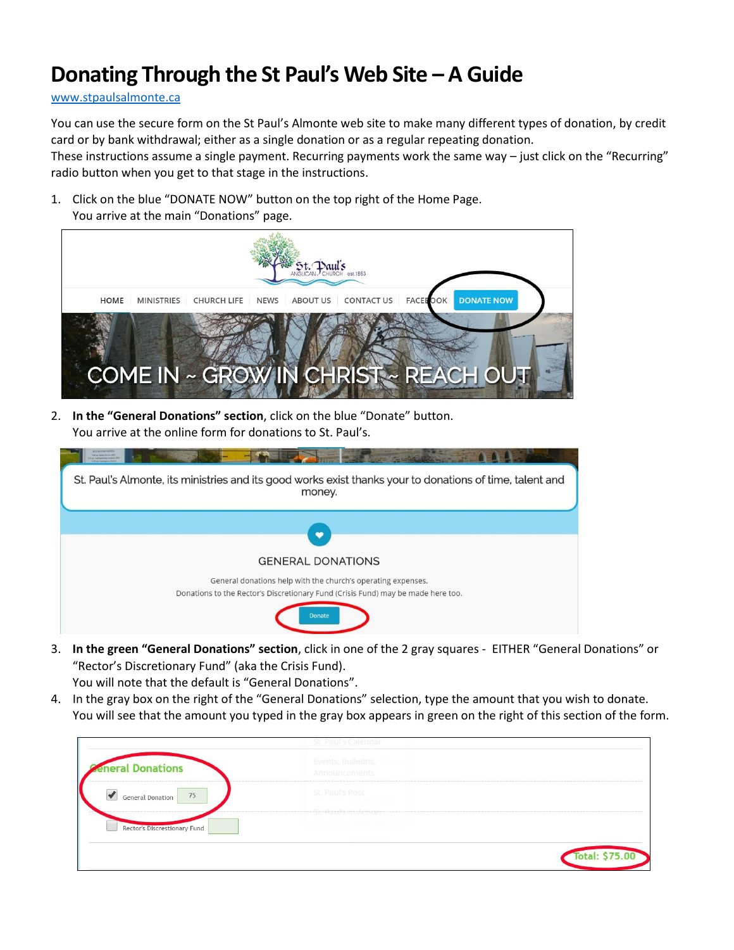## **Donating Through the St Paul's Web Site – A Guide**

#### [www.stpaulsalmonte.ca](http://www.stpaulsalmonte.ca/)

You can use the secure form on the St Paul's Almonte web site to make many different types of donation, by credit card or by bank withdrawal; either as a single donation or as a regular repeating donation.

These instructions assume a single payment. Recurring payments work the same way – just click on the "Recurring" radio button when you get to that stage in the instructions.

1. Click on the blue "DONATE NOW" button on the top right of the Home Page. You arrive at the main "Donations" page.



2. **In the "General Donations" section**, click on the blue "Donate" button. You arrive at the online form for donations to St. Paul's.

| I as Talling for Talket<br>1.00 per Continental Vehi-                                                              |
|--------------------------------------------------------------------------------------------------------------------|
| St. Paul's Almonte, its ministries and its good works exist thanks your to donations of time, talent and<br>money. |
|                                                                                                                    |
|                                                                                                                    |
| <b>GENERAL DONATIONS</b>                                                                                           |
| General donations help with the church's operating expenses.                                                       |
| Donations to the Rector's Discretionary Fund (Crisis Fund) may be made here too.                                   |
| <b>Donate</b>                                                                                                      |

3. **In the green "General Donations" section**, click in one of the 2 gray squares - EITHER "General Donations" or "Rector's Discretionary Fund" (aka the Crisis Fund).

You will note that the default is "General Donations".

4. In the gray box on the right of the "General Donations" selection, type the amount that you wish to donate. You will see that the amount you typed in the gray box appears in green on the right of this section of the form.

|                              | St. Paul's Calendar                                                 |                |
|------------------------------|---------------------------------------------------------------------|----------------|
| <b>Reneral Donations</b>     | Events, Bulletins, Smary<br>Announcements                           |                |
| 75<br>General Donation       | St. Paul's Post<br>1950 - <del>1961 M</del><br>St. Paul's in Action |                |
| Rector's Discrestionary Fund |                                                                     |                |
|                              |                                                                     | Total: \$75.00 |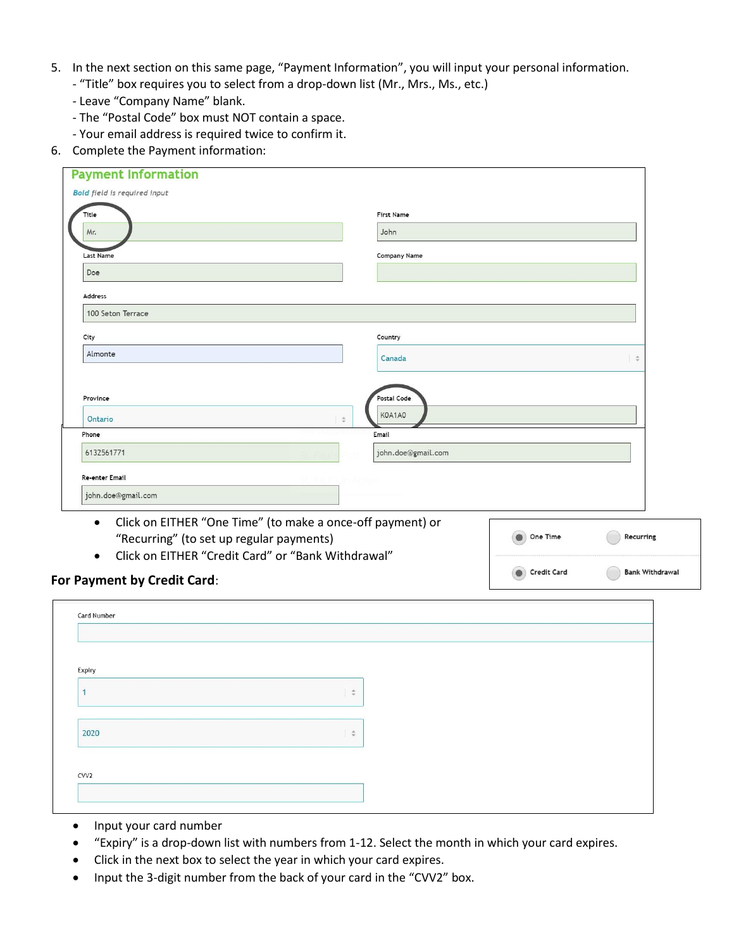- 5. In the next section on this same page, "Payment Information", you will input your personal information.
	- "Title" box requires you to select from a drop-down list (Mr., Mrs., Ms., etc.)
	- Leave "Company Name" blank.
	- The "Postal Code" box must NOT contain a space.
	- Your email address is required twice to confirm it.
- 6. Complete the Payment information:

| Title<br>First Name                                                                                                                                                                    |          |               |
|----------------------------------------------------------------------------------------------------------------------------------------------------------------------------------------|----------|---------------|
| Mr.<br>John                                                                                                                                                                            |          |               |
| Company Name<br>Last Name                                                                                                                                                              |          |               |
| Doe                                                                                                                                                                                    |          |               |
| Address                                                                                                                                                                                |          |               |
| 100 Seton Terrace                                                                                                                                                                      |          |               |
| City<br>Country                                                                                                                                                                        |          |               |
| Almonte<br>Canada                                                                                                                                                                      |          | $\Rightarrow$ |
| Postal Code<br>Province<br>K0A1A0<br>Ontario<br>$\div$                                                                                                                                 |          |               |
| Email<br>Phone                                                                                                                                                                         |          |               |
|                                                                                                                                                                                        |          |               |
| 6132561771<br>john.doe@gmail.com                                                                                                                                                       |          |               |
| Re-enter Email                                                                                                                                                                         |          |               |
| john.doe@gmail.com                                                                                                                                                                     |          |               |
| Click on EITHER "One Time" (to make a once-off payment) or<br>$\bullet$<br>"Recurring" (to set up regular payments)<br>Click on EITHER "Credit Card" or "Bank Withdrawal"<br>$\bullet$ | One Time | Recurring     |

### **For Payment by Credit Card**:

| Expiry |               |  |
|--------|---------------|--|
|        |               |  |
|        |               |  |
|        | $\frac{1}{2}$ |  |
|        |               |  |
| 2020   | $\Rightarrow$ |  |

- Input your card number
- "Expiry" is a drop-down list with numbers from 1-12. Select the month in which your card expires.
- Click in the next box to select the year in which your card expires.
- Input the 3-digit number from the back of your card in the "CVV2" box.